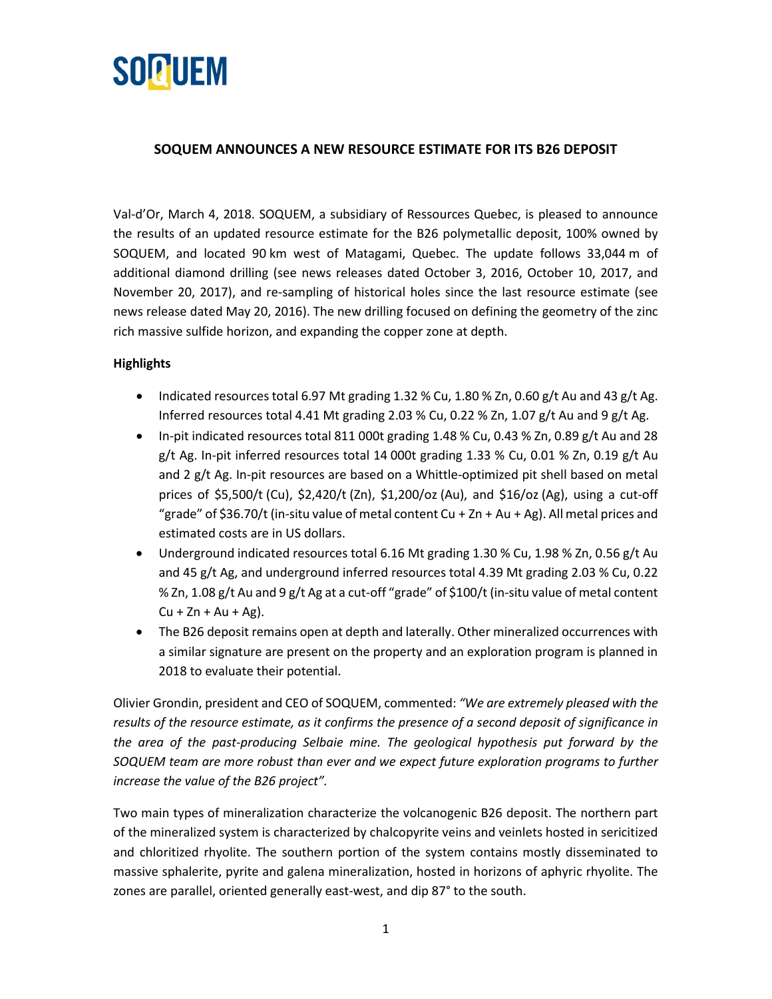

# **SOQUEM ANNOUNCES A NEW RESOURCE ESTIMATE FOR ITS B26 DEPOSIT**

Val-d'Or, March 4, 2018. SOQUEM, a subsidiary of Ressources Quebec, is pleased to announce the results of an updated resource estimate for the B26 polymetallic deposit, 100% owned by SOQUEM, and located 90 km west of Matagami, Quebec. The update follows 33,044 m of additional diamond drilling (see news releases dated October 3, 2016, October 10, 2017, and November 20, 2017), and re-sampling of historical holes since the last resource estimate (see news release dated May 20, 2016). The new drilling focused on defining the geometry of the zinc rich massive sulfide horizon, and expanding the copper zone at depth.

#### **Highlights**

- Indicated resources total 6.97 Mt grading 1.32 % Cu, 1.80 % Zn, 0.60 g/t Au and 43 g/t Ag. Inferred resources total 4.41 Mt grading 2.03 % Cu, 0.22 % Zn, 1.07 g/t Au and 9 g/t Ag.
- In-pit indicated resources total 811 000t grading 1.48 % Cu, 0.43 % Zn, 0.89 g/t Au and 28 g/t Ag. In-pit inferred resources total 14 000t grading 1.33 % Cu, 0.01 % Zn, 0.19 g/t Au and 2 g/t Ag. In-pit resources are based on a Whittle-optimized pit shell based on metal prices of \$5,500/t (Cu), \$2,420/t (Zn), \$1,200/oz (Au), and \$16/oz (Ag), using a cut-off "grade" of \$36.70/t (in-situ value of metal content Cu + Zn + Au + Ag). All metal prices and estimated costs are in US dollars.
- Underground indicated resources total 6.16 Mt grading 1.30 % Cu, 1.98 % Zn, 0.56 g/t Au and 45 g/t Ag, and underground inferred resources total 4.39 Mt grading 2.03 % Cu, 0.22 % Zn, 1.08 g/t Au and 9 g/t Ag at a cut-off "grade" of \$100/t (in-situ value of metal content  $Cu + Zn + Au + Ag$ ).
- The B26 deposit remains open at depth and laterally. Other mineralized occurrences with a similar signature are present on the property and an exploration program is planned in 2018 to evaluate their potential.

Olivier Grondin, president and CEO of SOQUEM, commented: *"We are extremely pleased with the results of the resource estimate, as it confirms the presence of a second deposit of significance in the area of the past-producing Selbaie mine. The geological hypothesis put forward by the SOQUEM team are more robust than ever and we expect future exploration programs to further increase the value of the B26 project".*

Two main types of mineralization characterize the volcanogenic B26 deposit. The northern part of the mineralized system is characterized by chalcopyrite veins and veinlets hosted in sericitized and chloritized rhyolite. The southern portion of the system contains mostly disseminated to massive sphalerite, pyrite and galena mineralization, hosted in horizons of aphyric rhyolite. The zones are parallel, oriented generally east-west, and dip 87° to the south.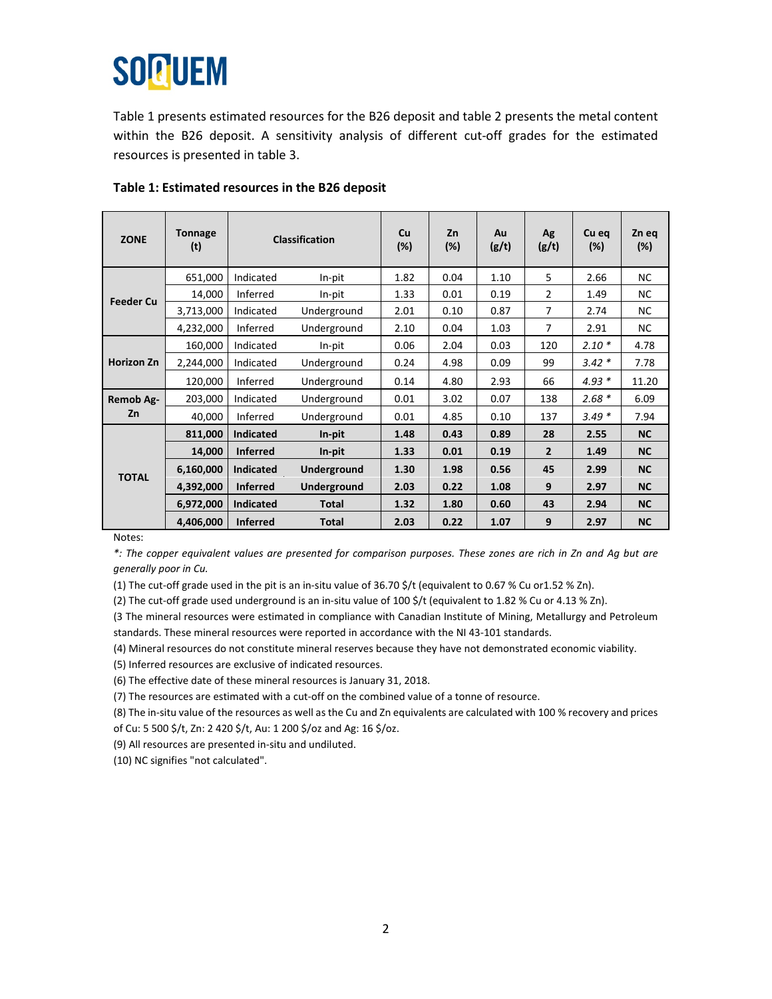# **SOQUEM**

Table 1 presents estimated resources for the B26 deposit and table 2 presents the metal content within the B26 deposit. A sensitivity analysis of different cut-off grades for the estimated resources is presented in table 3.

| <b>ZONE</b>       | <b>Tonnage</b><br>(t) | <b>Classification</b> |              | Cu<br>(%) | Zn<br>$(\%)$ | Au<br>(g/t) | Ag<br>(g/t)    | Cu eq<br>$(\%)$ | Zn eq<br>$(\%)$ |
|-------------------|-----------------------|-----------------------|--------------|-----------|--------------|-------------|----------------|-----------------|-----------------|
| <b>Feeder Cu</b>  | 651,000               | Indicated             | In-pit       | 1.82      | 0.04         | 1.10        | 5              | 2.66            | <b>NC</b>       |
|                   | 14,000                | Inferred              | In-pit       | 1.33      | 0.01         | 0.19        | $\overline{2}$ | 1.49            | <b>NC</b>       |
|                   | 3,713,000             | Indicated             | Underground  | 2.01      | 0.10         | 0.87        | $\overline{7}$ | 2.74            | <b>NC</b>       |
|                   | 4,232,000             | Inferred              | Underground  | 2.10      | 0.04         | 1.03        | $\overline{7}$ | 2.91            | <b>NC</b>       |
| <b>Horizon Zn</b> | 160,000               | Indicated             | In-pit       | 0.06      | 2.04         | 0.03        | 120            | $2.10*$         | 4.78            |
|                   | 2,244,000             | Indicated             | Underground  | 0.24      | 4.98         | 0.09        | 99             | $3.42*$         | 7.78            |
|                   | 120,000               | Inferred              | Underground  | 0.14      | 4.80         | 2.93        | 66             | $4.93*$         | 11.20           |
| Remob Ag-<br>Zn   | 203,000               | Indicated             | Underground  | 0.01      | 3.02         | 0.07        | 138            | $2.68*$         | 6.09            |
|                   | 40,000                | Inferred              | Underground  | 0.01      | 4.85         | 0.10        | 137            | $3.49*$         | 7.94            |
| <b>TOTAL</b>      | 811,000               | <b>Indicated</b>      | In-pit       | 1.48      | 0.43         | 0.89        | 28             | 2.55            | <b>NC</b>       |
|                   | 14,000                | <b>Inferred</b>       | In-pit       | 1.33      | 0.01         | 0.19        | $\overline{2}$ | 1.49            | <b>NC</b>       |
|                   | 6,160,000             | <b>Indicated</b>      | Underground  | 1.30      | 1.98         | 0.56        | 45             | 2.99            | <b>NC</b>       |
|                   | 4,392,000             | <b>Inferred</b>       | Underground  | 2.03      | 0.22         | 1.08        | 9              | 2.97            | <b>NC</b>       |
|                   | 6,972,000             | <b>Indicated</b>      | <b>Total</b> | 1.32      | 1.80         | 0.60        | 43             | 2.94            | <b>NC</b>       |
|                   | 4,406,000             | <b>Inferred</b>       | <b>Total</b> | 2.03      | 0.22         | 1.07        | 9              | 2.97            | <b>NC</b>       |

## **Table 1: Estimated resources in the B26 deposit**

Notes:

*\*: The copper equivalent values are presented for comparison purposes. These zones are rich in Zn and Ag but are generally poor in Cu.* 

(1) The cut-off grade used in the pit is an in-situ value of 36.70 \$/t (equivalent to 0.67 % Cu or1.52 % Zn).

(2) The cut-off grade used underground is an in-situ value of 100 \$/t (equivalent to 1.82 % Cu or 4.13 % Zn).

(3 The mineral resources were estimated in compliance with Canadian Institute of Mining, Metallurgy and Petroleum standards. These mineral resources were reported in accordance with the NI 43-101 standards.

(4) Mineral resources do not constitute mineral reserves because they have not demonstrated economic viability.

(5) Inferred resources are exclusive of indicated resources.

(6) The effective date of these mineral resources is January 31, 2018.

(7) The resources are estimated with a cut-off on the combined value of a tonne of resource.

(8) The in-situ value of the resources as well as the Cu and Zn equivalents are calculated with 100 % recovery and prices of Cu: 5 500 \$/t, Zn: 2 420 \$/t, Au: 1 200 \$/oz and Ag: 16 \$/oz.

(9) All resources are presented in-situ and undiluted.

(10) NC signifies "not calculated".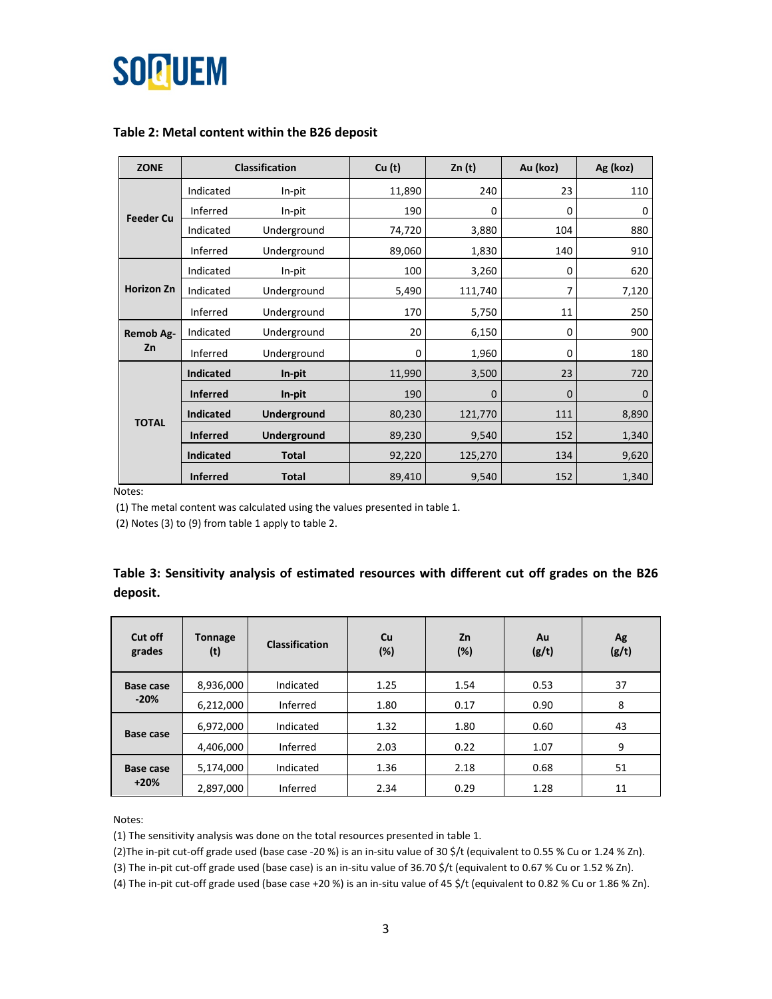

#### **Table 2: Metal content within the B26 deposit**

| <b>ZONE</b>            |                  | <b>Classification</b> | Cu(t)  | Zn(t)   | Au (koz) | Ag (koz) |
|------------------------|------------------|-----------------------|--------|---------|----------|----------|
| <b>Feeder Cu</b>       | Indicated        | In-pit                | 11,890 | 240     | 23       | 110      |
|                        | Inferred         | In-pit                | 190    | 0       | 0        | 0        |
|                        | Indicated        | Underground           | 74,720 | 3,880   | 104      | 880      |
|                        | Inferred         | Underground           | 89,060 | 1,830   | 140      | 910      |
| <b>Horizon Zn</b>      | Indicated        | In-pit                | 100    | 3,260   | 0        | 620      |
|                        | Indicated        | Underground           | 5,490  | 111,740 | 7        | 7,120    |
|                        | Inferred         | Underground           | 170    | 5,750   | 11       | 250      |
| <b>Remob Ag-</b><br>Zn | Indicated        | Underground           | 20     | 6,150   | 0        | 900      |
|                        | Inferred         | Underground           | 0      | 1,960   | 0        | 180      |
| <b>TOTAL</b>           | <b>Indicated</b> | In-pit                | 11,990 | 3,500   | 23       | 720      |
|                        | <b>Inferred</b>  | In-pit                | 190    | 0       | 0        | 0        |
|                        | <b>Indicated</b> | Underground           | 80,230 | 121,770 | 111      | 8,890    |
|                        | <b>Inferred</b>  | Underground           | 89,230 | 9,540   | 152      | 1,340    |
|                        | <b>Indicated</b> | <b>Total</b>          | 92,220 | 125,270 | 134      | 9,620    |
|                        | <b>Inferred</b>  | <b>Total</b>          | 89,410 | 9,540   | 152      | 1,340    |

Notes:

(1) The metal content was calculated using the values presented in table 1.

(2) Notes (3) to (9) from table 1 apply to table 2.

### **Table 3: Sensitivity analysis of estimated resources with different cut off grades on the B26 deposit.**

| Cut off<br>grades          | <b>Tonnage</b><br>(t) | <b>Classification</b> | Cu<br>$(\%)$ | Zn<br>$(\%)$ | Au<br>(g/t) | Ag<br>(g/t) |
|----------------------------|-----------------------|-----------------------|--------------|--------------|-------------|-------------|
| <b>Base case</b><br>$-20%$ | 8,936,000             | Indicated             | 1.25         | 1.54         | 0.53        | 37          |
|                            | 6,212,000             | Inferred              | 1.80         | 0.17         | 0.90        | 8           |
| <b>Base case</b>           | 6,972,000             | Indicated             | 1.32         | 1.80         | 0.60        | 43          |
|                            | 4,406,000             | Inferred              | 2.03         | 0.22         | 1.07        | 9           |
| <b>Base case</b><br>$+20%$ | 5,174,000             | Indicated             | 1.36         | 2.18         | 0.68        | 51          |
|                            | 2,897,000             | Inferred              | 2.34         | 0.29         | 1.28        | 11          |

Notes:

(1) The sensitivity analysis was done on the total resources presented in table 1.

(2)The in-pit cut-off grade used (base case -20 %) is an in-situ value of 30 \$/t (equivalent to 0.55 % Cu or 1.24 % Zn).

(3) The in-pit cut-off grade used (base case) is an in-situ value of 36.70 \$/t (equivalent to 0.67 % Cu or 1.52 % Zn).

(4) The in-pit cut-off grade used (base case +20 %) is an in-situ value of 45 \$/t (equivalent to 0.82 % Cu or 1.86 % Zn).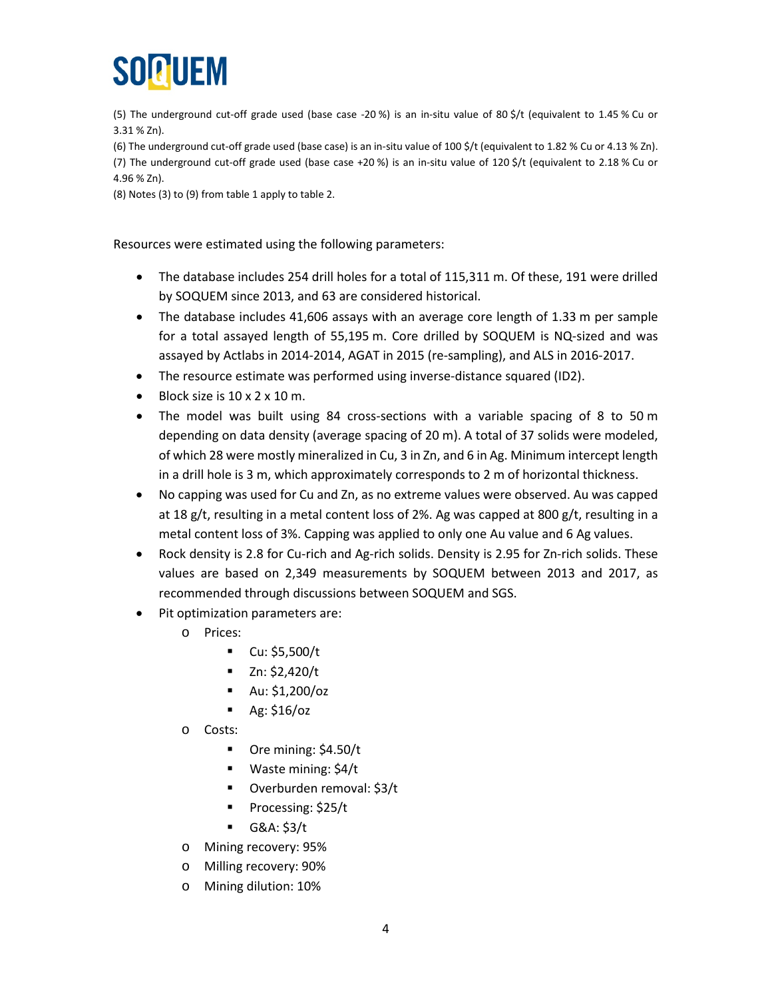

(5) The underground cut-off grade used (base case -20 %) is an in-situ value of 80 \$/t (equivalent to 1.45 % Cu or 3.31 % Zn).

(6) The underground cut-off grade used (base case) is an in-situ value of 100 \$/t (equivalent to 1.82 % Cu or 4.13 % Zn). (7) The underground cut-off grade used (base case +20 %) is an in-situ value of 120 \$/t (equivalent to 2.18 % Cu or 4.96 % Zn).

(8) Notes (3) to (9) from table 1 apply to table 2.

Resources were estimated using the following parameters:

- The database includes 254 drill holes for a total of 115,311 m. Of these, 191 were drilled by SOQUEM since 2013, and 63 are considered historical.
- The database includes 41,606 assays with an average core length of 1.33 m per sample for a total assayed length of 55,195 m. Core drilled by SOQUEM is NQ-sized and was assayed by Actlabs in 2014-2014, AGAT in 2015 (re-sampling), and ALS in 2016-2017.
- The resource estimate was performed using inverse-distance squared (ID2).
- Block size is 10 x 2 x 10 m.
- The model was built using 84 cross-sections with a variable spacing of 8 to 50 m depending on data density (average spacing of 20 m). A total of 37 solids were modeled, of which 28 were mostly mineralized in Cu, 3 in Zn, and 6 in Ag. Minimum intercept length in a drill hole is 3 m, which approximately corresponds to 2 m of horizontal thickness.
- No capping was used for Cu and Zn, as no extreme values were observed. Au was capped at 18 g/t, resulting in a metal content loss of 2%. Ag was capped at 800 g/t, resulting in a metal content loss of 3%. Capping was applied to only one Au value and 6 Ag values.
- Rock density is 2.8 for Cu-rich and Ag-rich solids. Density is 2.95 for Zn-rich solids. These values are based on 2,349 measurements by SOQUEM between 2013 and 2017, as recommended through discussions between SOQUEM and SGS.
- Pit optimization parameters are:
	- o Prices:
		- $\blacksquare$  Cu: \$5,500/t
		- $\blacksquare$  Zn: \$2,420/t
		- Au: \$1,200/oz
		- $\blacksquare$  Ag: \$16/oz
	- o Costs:
		- Ore mining: \$4.50/t
		- Waste mining: \$4/t
		- Overburden removal: \$3/t
		- Processing: \$25/t
		- $-$  G&A: \$3/t
	- o Mining recovery: 95%
	- o Milling recovery: 90%
	- o Mining dilution: 10%